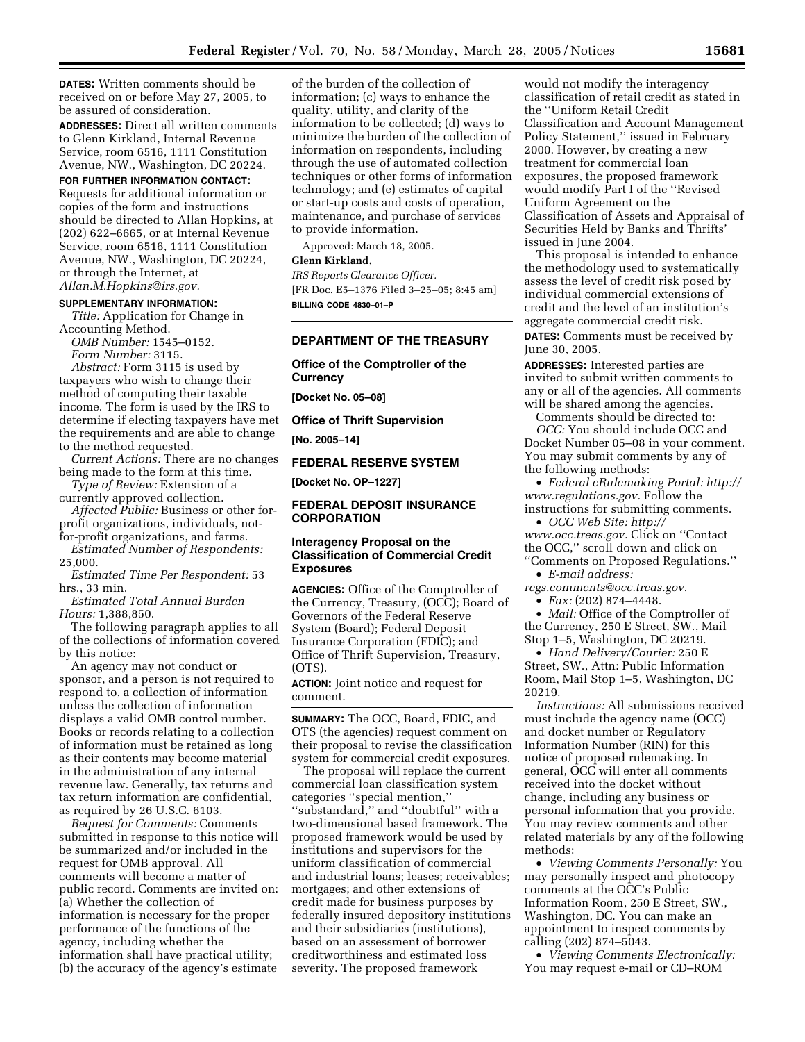**DATES:** Written comments should be received on or before May 27, 2005, to be assured of consideration.

**ADDRESSES:** Direct all written comments to Glenn Kirkland, Internal Revenue Service, room 6516, 1111 Constitution Avenue, NW., Washington, DC 20224.

## **FOR FURTHER INFORMATION CONTACT:**

Requests for additional information or copies of the form and instructions should be directed to Allan Hopkins, at (202) 622–6665, or at Internal Revenue Service, room 6516, 1111 Constitution Avenue, NW., Washington, DC 20224, or through the Internet, at *Allan.M.Hopkins@irs.gov.*

### **SUPPLEMENTARY INFORMATION:**

*Title:* Application for Change in Accounting Method.

*OMB Number:* 1545–0152. *Form Number:* 3115.

*Abstract:* Form 3115 is used by taxpayers who wish to change their method of computing their taxable income. The form is used by the IRS to determine if electing taxpayers have met the requirements and are able to change to the method requested.

*Current Actions:* There are no changes being made to the form at this time.

*Type of Review:* Extension of a currently approved collection.

*Affected Public:* Business or other forprofit organizations, individuals, notfor-profit organizations, and farms.

*Estimated Number of Respondents:* 25,000.

*Estimated Time Per Respondent:* 53 hrs., 33 min.

*Estimated Total Annual Burden Hours:* 1,388,850.

The following paragraph applies to all of the collections of information covered by this notice:

An agency may not conduct or sponsor, and a person is not required to respond to, a collection of information unless the collection of information displays a valid OMB control number. Books or records relating to a collection of information must be retained as long as their contents may become material in the administration of any internal revenue law. Generally, tax returns and tax return information are confidential, as required by 26 U.S.C. 6103.

*Request for Comments:* Comments submitted in response to this notice will be summarized and/or included in the request for OMB approval. All comments will become a matter of public record. Comments are invited on: (a) Whether the collection of information is necessary for the proper performance of the functions of the agency, including whether the information shall have practical utility; (b) the accuracy of the agency's estimate

of the burden of the collection of information; (c) ways to enhance the quality, utility, and clarity of the information to be collected; (d) ways to minimize the burden of the collection of information on respondents, including through the use of automated collection techniques or other forms of information technology; and (e) estimates of capital or start-up costs and costs of operation, maintenance, and purchase of services to provide information.

Approved: March 18, 2005.

# **Glenn Kirkland,**

*IRS Reports Clearance Officer.* [FR Doc. E5–1376 Filed 3–25–05; 8:45 am] **BILLING CODE 4830–01–P**

# **DEPARTMENT OF THE TREASURY**

# **Office of the Comptroller of the Currency**

**[Docket No. 05–08]** 

**Office of Thrift Supervision** 

**[No. 2005–14]** 

# **FEDERAL RESERVE SYSTEM**

**[Docket No. OP–1227]** 

# **FEDERAL DEPOSIT INSURANCE CORPORATION**

# **Interagency Proposal on the Classification of Commercial Credit Exposures**

**AGENCIES:** Office of the Comptroller of the Currency, Treasury, (OCC); Board of Governors of the Federal Reserve System (Board); Federal Deposit Insurance Corporation (FDIC); and Office of Thrift Supervision, Treasury, (OTS).

**ACTION:** Joint notice and request for comment.

**SUMMARY:** The OCC, Board, FDIC, and OTS (the agencies) request comment on their proposal to revise the classification system for commercial credit exposures.

The proposal will replace the current commercial loan classification system categories ''special mention,'' ''substandard,'' and ''doubtful'' with a two-dimensional based framework. The proposed framework would be used by institutions and supervisors for the uniform classification of commercial and industrial loans; leases; receivables; mortgages; and other extensions of credit made for business purposes by federally insured depository institutions and their subsidiaries (institutions), based on an assessment of borrower creditworthiness and estimated loss severity. The proposed framework

would not modify the interagency classification of retail credit as stated in the ''Uniform Retail Credit Classification and Account Management Policy Statement,'' issued in February 2000. However, by creating a new treatment for commercial loan exposures, the proposed framework would modify Part I of the ''Revised Uniform Agreement on the Classification of Assets and Appraisal of Securities Held by Banks and Thrifts' issued in June 2004.

This proposal is intended to enhance the methodology used to systematically assess the level of credit risk posed by individual commercial extensions of credit and the level of an institution's aggregate commercial credit risk.

**DATES:** Comments must be received by June 30, 2005.

**ADDRESSES:** Interested parties are invited to submit written comments to any or all of the agencies. All comments will be shared among the agencies.

Comments should be directed to: *OCC:* You should include OCC and Docket Number 05–08 in your comment. You may submit comments by any of the following methods:

• *Federal eRulemaking Portal: http:// www.regulations.gov.* Follow the instructions for submitting comments.

• *OCC Web Site: http:// www.occ.treas.gov.* Click on ''Contact the OCC,'' scroll down and click on

''Comments on Proposed Regulations.'' • *E-mail address:*

*regs.comments@occ.treas.gov.*

• *Fax:* (202) 874–4448.

• *Mail:* Office of the Comptroller of the Currency, 250 E Street, SW., Mail Stop 1–5, Washington, DC 20219.

• *Hand Delivery/Courier:* 250 E Street, SW., Attn: Public Information Room, Mail Stop 1–5, Washington, DC 20219.

*Instructions:* All submissions received must include the agency name (OCC) and docket number or Regulatory Information Number (RIN) for this notice of proposed rulemaking. In general, OCC will enter all comments received into the docket without change, including any business or personal information that you provide. You may review comments and other related materials by any of the following methods:

• *Viewing Comments Personally:* You may personally inspect and photocopy comments at the OCC's Public Information Room, 250 E Street, SW., Washington, DC. You can make an appointment to inspect comments by calling (202) 874–5043.

• *Viewing Comments Electronically:* You may request e-mail or CD–ROM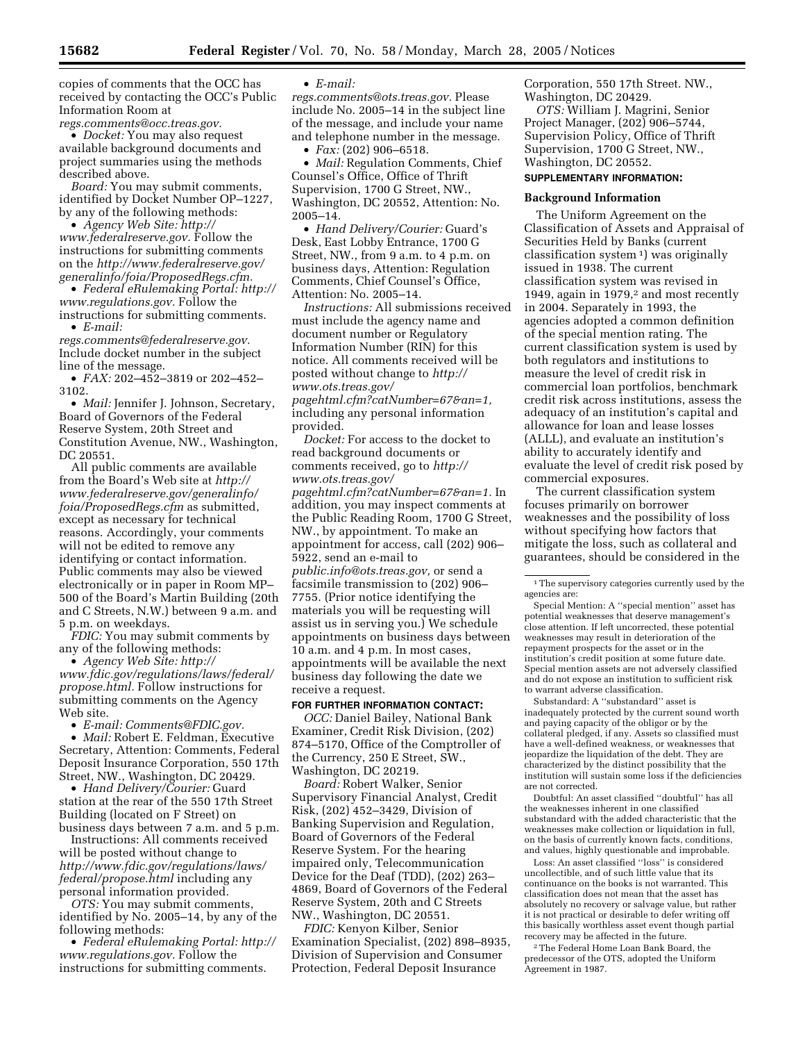copies of comments that the OCC has received by contacting the OCC's Public Information Room at *regs.comments@occ.treas.gov.*

• *Docket:* You may also request available background documents and project summaries using the methods described above.

*Board:* You may submit comments, identified by Docket Number OP–1227, by any of the following methods:

• *Agency Web Site: http:// www.federalreserve.gov.* Follow the instructions for submitting comments on the *http://www.federalreserve.gov/ generalinfo/foia/ProposedRegs.cfm.*

• *Federal eRulemaking Portal: http:// www.regulations.gov.* Follow the instructions for submitting comments. • *E-mail:*

*regs.comments@federalreserve.gov.* Include docket number in the subject line of the message.

• *FAX:* 202–452–3819 or 202–452– 3102.

• *Mail:* Jennifer J. Johnson, Secretary, Board of Governors of the Federal Reserve System, 20th Street and Constitution Avenue, NW., Washington, DC 20551.

All public comments are available from the Board's Web site at *http:// www.federalreserve.gov/generalinfo/ foia/ProposedRegs.cfm* as submitted, except as necessary for technical reasons. Accordingly, your comments will not be edited to remove any identifying or contact information. Public comments may also be viewed electronically or in paper in Room MP– 500 of the Board's Martin Building (20th and C Streets, N.W.) between 9 a.m. and 5 p.m. on weekdays.

*FDIC:* You may submit comments by any of the following methods:

• *Agency Web Site: http:// www.fdic.gov/regulations/laws/federal/ propose.html.* Follow instructions for submitting comments on the Agency Web site.

• *E-mail: Comments@FDIC.gov.*

• *Mail:* Robert E. Feldman, Executive Secretary, Attention: Comments, Federal Deposit Insurance Corporation, 550 17th Street, NW., Washington, DC 20429.

• *Hand Delivery/Courier:* Guard station at the rear of the 550 17th Street Building (located on F Street) on business days between 7 a.m. and 5 p.m.

Instructions: All comments received will be posted without change to *http://www.fdic.gov/regulations/laws/ federal/propose.html* including any personal information provided.

*OTS:* You may submit comments, identified by No. 2005–14, by any of the following methods:

• *Federal eRulemaking Portal: http:// www.regulations.gov.* Follow the instructions for submitting comments.

• *E-mail:*

*regs.comments@ots.treas.gov.* Please include No. 2005–14 in the subject line of the message, and include your name and telephone number in the message.

• *Fax:* (202) 906–6518.

• *Mail:* Regulation Comments, Chief Counsel's Office, Office of Thrift Supervision, 1700 G Street, NW., Washington, DC 20552, Attention: No. 2005–14.

• *Hand Delivery/Courier:* Guard's Desk, East Lobby Entrance, 1700 G Street, NW., from 9 a.m. to 4 p.m. on business days, Attention: Regulation Comments, Chief Counsel's Office, Attention: No. 2005–14.

*Instructions:* All submissions received must include the agency name and document number or Regulatory Information Number (RIN) for this notice. All comments received will be posted without change to *http:// www.ots.treas.gov/*

*pagehtml.cfm?catNumber=67&an=1,* including any personal information provided.

*Docket:* For access to the docket to read background documents or comments received, go to *http:// www.ots.treas.gov/ pagehtml.cfm?catNumber=67&an=1.* In addition, you may inspect comments at the Public Reading Room, 1700 G Street, NW., by appointment. To make an appointment for access, call (202) 906– 5922, send an e-mail to *public.info@ots.treas.gov,* or send a facsimile transmission to (202) 906– 7755. (Prior notice identifying the materials you will be requesting will assist us in serving you.) We schedule appointments on business days between 10 a.m. and 4 p.m. In most cases, appointments will be available the next business day following the date we receive a request.

## **FOR FURTHER INFORMATION CONTACT:**

*OCC:* Daniel Bailey, National Bank Examiner, Credit Risk Division, (202) 874–5170, Office of the Comptroller of the Currency, 250 E Street, SW., Washington, DC 20219.

*Board:* Robert Walker, Senior Supervisory Financial Analyst, Credit Risk, (202) 452–3429, Division of Banking Supervision and Regulation, Board of Governors of the Federal Reserve System. For the hearing impaired only, Telecommunication Device for the Deaf (TDD), (202) 263– 4869, Board of Governors of the Federal Reserve System, 20th and C Streets NW., Washington, DC 20551.

*FDIC:* Kenyon Kilber, Senior Examination Specialist, (202) 898–8935, Division of Supervision and Consumer Protection, Federal Deposit Insurance

Corporation, 550 17th Street. NW., Washington, DC 20429.

*OTS:* William J. Magrini, Senior Project Manager, (202) 906–5744, Supervision Policy, Office of Thrift Supervision, 1700 G Street, NW., Washington, DC 20552.

## **SUPPLEMENTARY INFORMATION:**

## **Background Information**

The Uniform Agreement on the Classification of Assets and Appraisal of Securities Held by Banks (current classification system 1) was originally issued in 1938. The current classification system was revised in 1949, again in 1979,<sup>2</sup> and most recently in 2004. Separately in 1993, the agencies adopted a common definition of the special mention rating. The current classification system is used by both regulators and institutions to measure the level of credit risk in commercial loan portfolios, benchmark credit risk across institutions, assess the adequacy of an institution's capital and allowance for loan and lease losses (ALLL), and evaluate an institution's ability to accurately identify and evaluate the level of credit risk posed by commercial exposures.

The current classification system focuses primarily on borrower weaknesses and the possibility of loss without specifying how factors that mitigate the loss, such as collateral and guarantees, should be considered in the

Substandard: A ''substandard'' asset is inadequately protected by the current sound worth and paying capacity of the obligor or by the collateral pledged, if any. Assets so classified must have a well-defined weakness, or weaknesses that jeopardize the liquidation of the debt. They are characterized by the distinct possibility that the institution will sustain some loss if the deficiencies are not corrected.

Doubtful: An asset classified ''doubtful'' has all the weaknesses inherent in one classified substandard with the added characteristic that the weaknesses make collection or liquidation in full, on the basis of currently known facts, conditions, and values, highly questionable and improbable.

Loss: An asset classified ''loss'' is considered uncollectible, and of such little value that its continuance on the books is not warranted. This classification does not mean that the asset has absolutely no recovery or salvage value, but rather it is not practical or desirable to defer writing off this basically worthless asset event though partial recovery may be affected in the future.

2The Federal Home Loan Bank Board, the predecessor of the OTS, adopted the Uniform Agreement in 1987.

<sup>&</sup>lt;sup>1</sup>The supervisory categories currently used by the agencies are:

Special Mention: A ''special mention'' asset has potential weaknesses that deserve management's close attention. If left uncorrected, these potential weaknesses may result in deterioration of the repayment prospects for the asset or in the institution's credit position at some future date. Special mention assets are not adversely classified and do not expose an institution to sufficient risk to warrant adverse classification.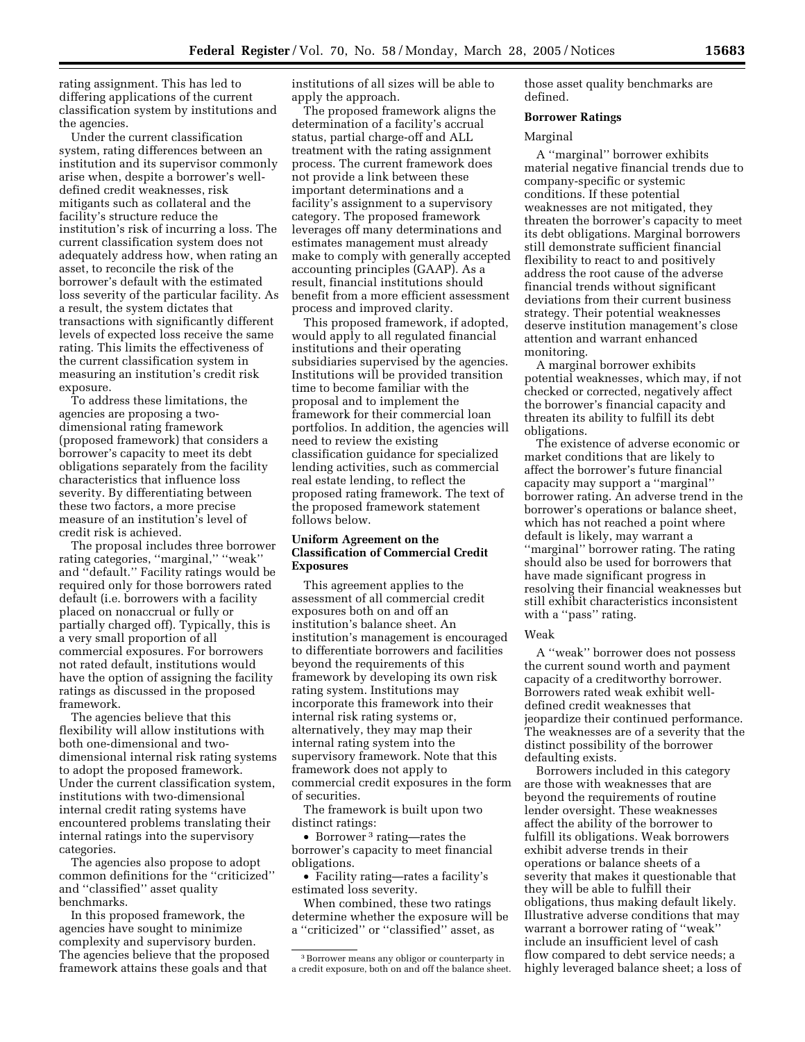rating assignment. This has led to differing applications of the current classification system by institutions and the agencies.

Under the current classification system, rating differences between an institution and its supervisor commonly arise when, despite a borrower's welldefined credit weaknesses, risk mitigants such as collateral and the facility's structure reduce the institution's risk of incurring a loss. The current classification system does not adequately address how, when rating an asset, to reconcile the risk of the borrower's default with the estimated loss severity of the particular facility. As a result, the system dictates that transactions with significantly different levels of expected loss receive the same rating. This limits the effectiveness of the current classification system in measuring an institution's credit risk exposure.

To address these limitations, the agencies are proposing a twodimensional rating framework (proposed framework) that considers a borrower's capacity to meet its debt obligations separately from the facility characteristics that influence loss severity. By differentiating between these two factors, a more precise measure of an institution's level of credit risk is achieved.

The proposal includes three borrower rating categories, ''marginal,'' ''weak'' and ''default.'' Facility ratings would be required only for those borrowers rated default (i.e. borrowers with a facility placed on nonaccrual or fully or partially charged off). Typically, this is a very small proportion of all commercial exposures. For borrowers not rated default, institutions would have the option of assigning the facility ratings as discussed in the proposed framework.

The agencies believe that this flexibility will allow institutions with both one-dimensional and twodimensional internal risk rating systems to adopt the proposed framework. Under the current classification system, institutions with two-dimensional internal credit rating systems have encountered problems translating their internal ratings into the supervisory categories.

The agencies also propose to adopt common definitions for the ''criticized'' and ''classified'' asset quality benchmarks.

In this proposed framework, the agencies have sought to minimize complexity and supervisory burden. The agencies believe that the proposed framework attains these goals and that

institutions of all sizes will be able to apply the approach.

The proposed framework aligns the determination of a facility's accrual status, partial charge-off and ALL treatment with the rating assignment process. The current framework does not provide a link between these important determinations and a facility's assignment to a supervisory category. The proposed framework leverages off many determinations and estimates management must already make to comply with generally accepted accounting principles (GAAP). As a result, financial institutions should benefit from a more efficient assessment process and improved clarity.

This proposed framework, if adopted, would apply to all regulated financial institutions and their operating subsidiaries supervised by the agencies. Institutions will be provided transition time to become familiar with the proposal and to implement the framework for their commercial loan portfolios. In addition, the agencies will need to review the existing classification guidance for specialized lending activities, such as commercial real estate lending, to reflect the proposed rating framework. The text of the proposed framework statement follows below.

# **Uniform Agreement on the Classification of Commercial Credit Exposures**

This agreement applies to the assessment of all commercial credit exposures both on and off an institution's balance sheet. An institution's management is encouraged to differentiate borrowers and facilities beyond the requirements of this framework by developing its own risk rating system. Institutions may incorporate this framework into their internal risk rating systems or, alternatively, they may map their internal rating system into the supervisory framework. Note that this framework does not apply to commercial credit exposures in the form of securities.

The framework is built upon two distinct ratings:

• Borrower<sup>3</sup> rating—rates the borrower's capacity to meet financial obligations.

• Facility rating—rates a facility's estimated loss severity.

When combined, these two ratings determine whether the exposure will be a ''criticized'' or ''classified'' asset, as

those asset quality benchmarks are defined.

## **Borrower Ratings**

#### Marginal

A ''marginal'' borrower exhibits material negative financial trends due to company-specific or systemic conditions. If these potential weaknesses are not mitigated, they threaten the borrower's capacity to meet its debt obligations. Marginal borrowers still demonstrate sufficient financial flexibility to react to and positively address the root cause of the adverse financial trends without significant deviations from their current business strategy. Their potential weaknesses deserve institution management's close attention and warrant enhanced monitoring.

A marginal borrower exhibits potential weaknesses, which may, if not checked or corrected, negatively affect the borrower's financial capacity and threaten its ability to fulfill its debt obligations.

The existence of adverse economic or market conditions that are likely to affect the borrower's future financial capacity may support a ''marginal'' borrower rating. An adverse trend in the borrower's operations or balance sheet, which has not reached a point where default is likely, may warrant a ''marginal'' borrower rating. The rating should also be used for borrowers that have made significant progress in resolving their financial weaknesses but still exhibit characteristics inconsistent with a "pass" rating.

# Weak

A ''weak'' borrower does not possess the current sound worth and payment capacity of a creditworthy borrower. Borrowers rated weak exhibit welldefined credit weaknesses that jeopardize their continued performance. The weaknesses are of a severity that the distinct possibility of the borrower defaulting exists.

Borrowers included in this category are those with weaknesses that are beyond the requirements of routine lender oversight. These weaknesses affect the ability of the borrower to fulfill its obligations. Weak borrowers exhibit adverse trends in their operations or balance sheets of a severity that makes it questionable that they will be able to fulfill their obligations, thus making default likely. Illustrative adverse conditions that may warrant a borrower rating of ''weak'' include an insufficient level of cash flow compared to debt service needs; a highly leveraged balance sheet; a loss of

<sup>3</sup>Borrower means any obligor or counterparty in a credit exposure, both on and off the balance sheet.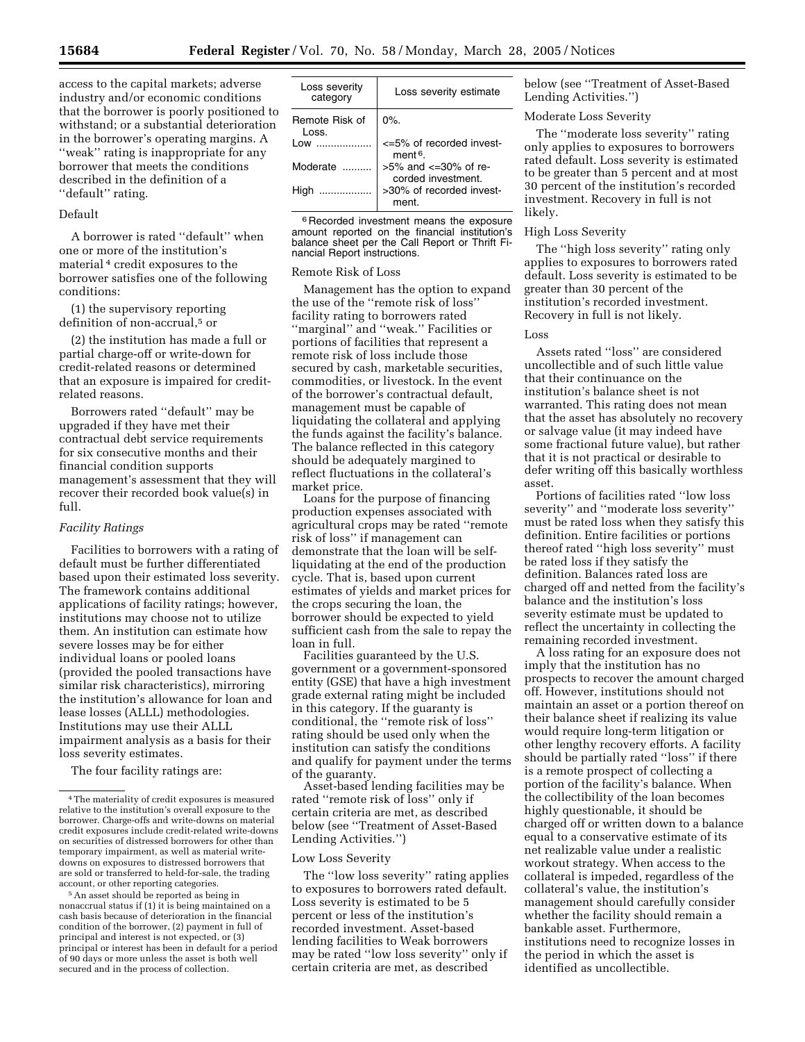access to the capital markets; adverse industry and/or economic conditions that the borrower is poorly positioned to withstand; or a substantial deterioration in the borrower's operating margins. A ''weak'' rating is inappropriate for any borrower that meets the conditions described in the definition of a "default" rating.

# Default

A borrower is rated ''default'' when one or more of the institution's material 4 credit exposures to the borrower satisfies one of the following conditions:

(1) the supervisory reporting definition of non-accrual,<sup>5</sup> or

(2) the institution has made a full or partial charge-off or write-down for credit-related reasons or determined that an exposure is impaired for creditrelated reasons.

Borrowers rated ''default'' may be upgraded if they have met their contractual debt service requirements for six consecutive months and their financial condition supports management's assessment that they will recover their recorded book value(s) in full.

## *Facility Ratings*

Facilities to borrowers with a rating of default must be further differentiated based upon their estimated loss severity. The framework contains additional applications of facility ratings; however, institutions may choose not to utilize them. An institution can estimate how severe losses may be for either individual loans or pooled loans (provided the pooled transactions have similar risk characteristics), mirroring the institution's allowance for loan and lease losses (ALLL) methodologies. Institutions may use their ALLL impairment analysis as a basis for their loss severity estimates.

The four facility ratings are:

5An asset should be reported as being in nonaccrual status if (1) it is being maintained on a cash basis because of deterioration in the financial condition of the borrower, (2) payment in full of principal and interest is not expected, or (3) principal or interest has been in default for a period of 90 days or more unless the asset is both well secured and in the process of collection.

| Loss severity<br>category | Loss severity estimate                                  |
|---------------------------|---------------------------------------------------------|
| Remote Risk of<br>Loss.   | $0\%$ .                                                 |
| Low                       | $\epsilon$ =5% of recorded invest-<br>ment <sup>6</sup> |
| Moderate                  | $>5\%$ and $\lt$ =30% of re-<br>corded investment.      |
| High<br>.                 | >30% of recorded invest-<br>ment.                       |

6 Recorded investment means the exposure amount reported on the financial institution's balance sheet per the Call Report or Thrift Financial Report instructions.

#### Remote Risk of Loss

Management has the option to expand the use of the ''remote risk of loss'' facility rating to borrowers rated ''marginal'' and ''weak.'' Facilities or portions of facilities that represent a remote risk of loss include those secured by cash, marketable securities, commodities, or livestock. In the event of the borrower's contractual default, management must be capable of liquidating the collateral and applying the funds against the facility's balance. The balance reflected in this category should be adequately margined to reflect fluctuations in the collateral's market price.

Loans for the purpose of financing production expenses associated with agricultural crops may be rated ''remote risk of loss'' if management can demonstrate that the loan will be selfliquidating at the end of the production cycle. That is, based upon current estimates of yields and market prices for the crops securing the loan, the borrower should be expected to yield sufficient cash from the sale to repay the loan in full.

Facilities guaranteed by the U.S. government or a government-sponsored entity (GSE) that have a high investment grade external rating might be included in this category. If the guaranty is conditional, the ''remote risk of loss'' rating should be used only when the institution can satisfy the conditions and qualify for payment under the terms of the guaranty.

Asset-based lending facilities may be rated ''remote risk of loss'' only if certain criteria are met, as described below (see ''Treatment of Asset-Based Lending Activities.'')

## Low Loss Severity

The ''low loss severity'' rating applies to exposures to borrowers rated default. Loss severity is estimated to be 5 percent or less of the institution's recorded investment. Asset-based lending facilities to Weak borrowers may be rated ''low loss severity'' only if certain criteria are met, as described

below (see ''Treatment of Asset-Based Lending Activities.'')

### Moderate Loss Severity

The ''moderate loss severity'' rating only applies to exposures to borrowers rated default. Loss severity is estimated to be greater than 5 percent and at most 30 percent of the institution's recorded investment. Recovery in full is not likely.

## High Loss Severity

The ''high loss severity'' rating only applies to exposures to borrowers rated default. Loss severity is estimated to be greater than 30 percent of the institution's recorded investment. Recovery in full is not likely.

## Loss

Assets rated ''loss'' are considered uncollectible and of such little value that their continuance on the institution's balance sheet is not warranted. This rating does not mean that the asset has absolutely no recovery or salvage value (it may indeed have some fractional future value), but rather that it is not practical or desirable to defer writing off this basically worthless asset.

Portions of facilities rated ''low loss severity'' and ''moderate loss severity'' must be rated loss when they satisfy this definition. Entire facilities or portions thereof rated ''high loss severity'' must be rated loss if they satisfy the definition. Balances rated loss are charged off and netted from the facility's balance and the institution's loss severity estimate must be updated to reflect the uncertainty in collecting the remaining recorded investment.

A loss rating for an exposure does not imply that the institution has no prospects to recover the amount charged off. However, institutions should not maintain an asset or a portion thereof on their balance sheet if realizing its value would require long-term litigation or other lengthy recovery efforts. A facility should be partially rated ''loss'' if there is a remote prospect of collecting a portion of the facility's balance. When the collectibility of the loan becomes highly questionable, it should be charged off or written down to a balance equal to a conservative estimate of its net realizable value under a realistic workout strategy. When access to the collateral is impeded, regardless of the collateral's value, the institution's management should carefully consider whether the facility should remain a bankable asset. Furthermore, institutions need to recognize losses in the period in which the asset is identified as uncollectible.

<sup>4</sup>The materiality of credit exposures is measured relative to the institution's overall exposure to the borrower. Charge-offs and write-downs on material credit exposures include credit-related write-downs on securities of distressed borrowers for other than temporary impairment, as well as material writedowns on exposures to distressed borrowers that are sold or transferred to held-for-sale, the trading account, or other reporting categories.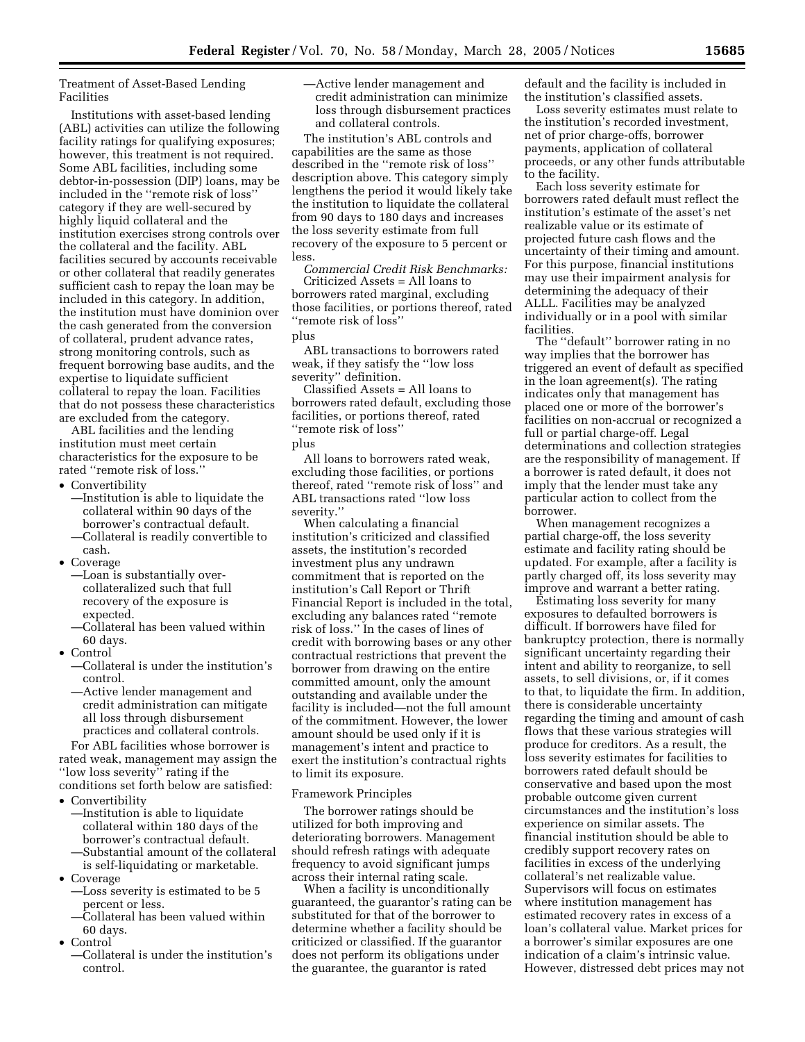Treatment of Asset-Based Lending Facilities

Institutions with asset-based lending (ABL) activities can utilize the following facility ratings for qualifying exposures; however, this treatment is not required. Some ABL facilities, including some debtor-in-possession (DIP) loans, may be included in the ''remote risk of loss'' category if they are well-secured by highly liquid collateral and the institution exercises strong controls over the collateral and the facility. ABL facilities secured by accounts receivable or other collateral that readily generates sufficient cash to repay the loan may be included in this category. In addition, the institution must have dominion over the cash generated from the conversion of collateral, prudent advance rates, strong monitoring controls, such as frequent borrowing base audits, and the expertise to liquidate sufficient collateral to repay the loan. Facilities that do not possess these characteristics are excluded from the category.

ABL facilities and the lending institution must meet certain characteristics for the exposure to be rated ''remote risk of loss.''

- Convertibility
	- —Institution is able to liquidate the collateral within 90 days of the borrower's contractual default.
	- —Collateral is readily convertible to cash.
- Coverage
	- —Loan is substantially overcollateralized such that full recovery of the exposure is expected.
	- —Collateral has been valued within 60 days.
- Control
	- —Collateral is under the institution's control.
	- —Active lender management and credit administration can mitigate all loss through disbursement practices and collateral controls.

For ABL facilities whose borrower is rated weak, management may assign the ''low loss severity'' rating if the conditions set forth below are satisfied:

- Convertibility
	- —Institution is able to liquidate collateral within 180 days of the borrower's contractual default.
	- —Substantial amount of the collateral is self-liquidating or marketable.
- Coverage —Loss severity is estimated to be 5 percent or less.
	- —Collateral has been valued within 60 days.
- Control
	- —Collateral is under the institution's control.

—Active lender management and credit administration can minimize loss through disbursement practices and collateral controls.

The institution's ABL controls and capabilities are the same as those described in the ''remote risk of loss'' description above. This category simply lengthens the period it would likely take the institution to liquidate the collateral from 90 days to 180 days and increases the loss severity estimate from full recovery of the exposure to 5 percent or less.

*Commercial Credit Risk Benchmarks:* Criticized Assets = All loans to borrowers rated marginal, excluding those facilities, or portions thereof, rated ''remote risk of loss''

## plus

ABL transactions to borrowers rated weak, if they satisfy the ''low loss severity'' definition.

Classified Assets = All loans to borrowers rated default, excluding those facilities, or portions thereof, rated ''remote risk of loss''

### plus

All loans to borrowers rated weak, excluding those facilities, or portions thereof, rated ''remote risk of loss'' and ABL transactions rated ''low loss severity."

When calculating a financial institution's criticized and classified assets, the institution's recorded investment plus any undrawn commitment that is reported on the institution's Call Report or Thrift Financial Report is included in the total, excluding any balances rated ''remote risk of loss.'' In the cases of lines of credit with borrowing bases or any other contractual restrictions that prevent the borrower from drawing on the entire committed amount, only the amount outstanding and available under the facility is included—not the full amount of the commitment. However, the lower amount should be used only if it is management's intent and practice to exert the institution's contractual rights to limit its exposure.

### Framework Principles

The borrower ratings should be utilized for both improving and deteriorating borrowers. Management should refresh ratings with adequate frequency to avoid significant jumps across their internal rating scale.

When a facility is unconditionally guaranteed, the guarantor's rating can be substituted for that of the borrower to determine whether a facility should be criticized or classified. If the guarantor does not perform its obligations under the guarantee, the guarantor is rated

default and the facility is included in the institution's classified assets.

Loss severity estimates must relate to the institution's recorded investment, net of prior charge-offs, borrower payments, application of collateral proceeds, or any other funds attributable to the facility.

Each loss severity estimate for borrowers rated default must reflect the institution's estimate of the asset's net realizable value or its estimate of projected future cash flows and the uncertainty of their timing and amount. For this purpose, financial institutions may use their impairment analysis for determining the adequacy of their ALLL. Facilities may be analyzed individually or in a pool with similar facilities.

The ''default'' borrower rating in no way implies that the borrower has triggered an event of default as specified in the loan agreement(s). The rating indicates only that management has placed one or more of the borrower's facilities on non-accrual or recognized a full or partial charge-off. Legal determinations and collection strategies are the responsibility of management. If a borrower is rated default, it does not imply that the lender must take any particular action to collect from the borrower.

When management recognizes a partial charge-off, the loss severity estimate and facility rating should be updated. For example, after a facility is partly charged off, its loss severity may improve and warrant a better rating.

Estimating loss severity for many exposures to defaulted borrowers is difficult. If borrowers have filed for bankruptcy protection, there is normally significant uncertainty regarding their intent and ability to reorganize, to sell assets, to sell divisions, or, if it comes to that, to liquidate the firm. In addition, there is considerable uncertainty regarding the timing and amount of cash flows that these various strategies will produce for creditors. As a result, the loss severity estimates for facilities to borrowers rated default should be conservative and based upon the most probable outcome given current circumstances and the institution's loss experience on similar assets. The financial institution should be able to credibly support recovery rates on facilities in excess of the underlying collateral's net realizable value. Supervisors will focus on estimates where institution management has estimated recovery rates in excess of a loan's collateral value. Market prices for a borrower's similar exposures are one indication of a claim's intrinsic value. However, distressed debt prices may not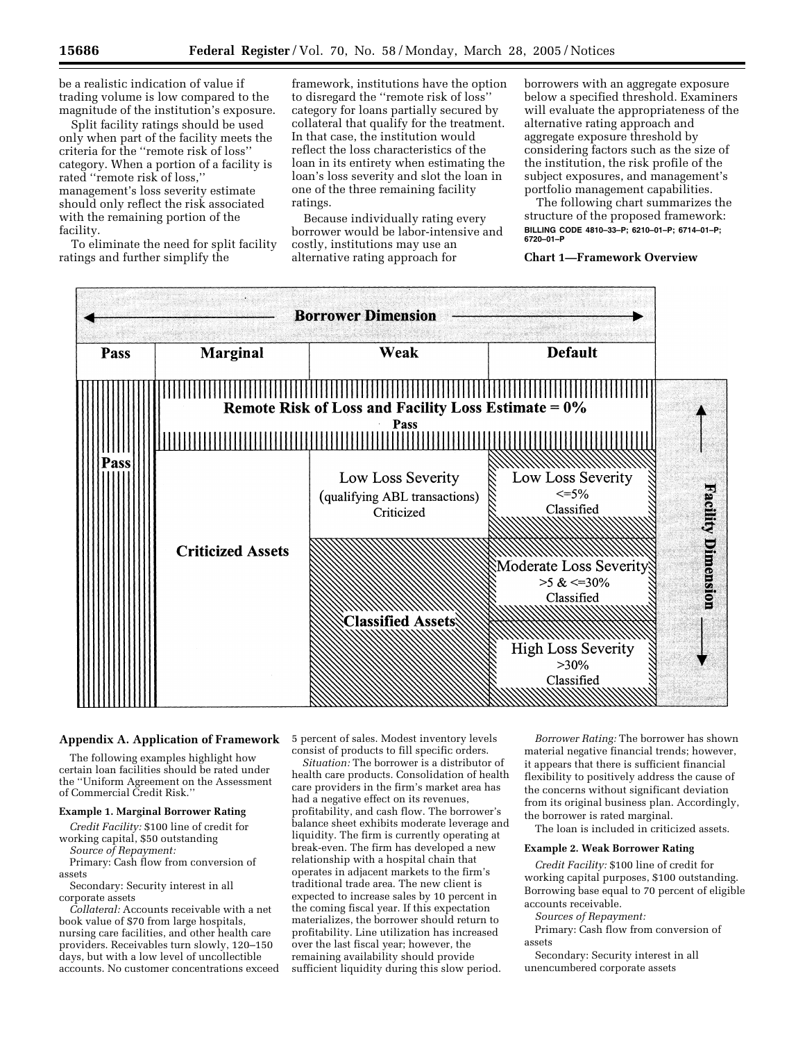be a realistic indication of value if trading volume is low compared to the magnitude of the institution's exposure.

Split facility ratings should be used only when part of the facility meets the criteria for the ''remote risk of loss'' category. When a portion of a facility is rated ''remote risk of loss,'' management's loss severity estimate should only reflect the risk associated with the remaining portion of the facility.

To eliminate the need for split facility ratings and further simplify the

framework, institutions have the option to disregard the ''remote risk of loss'' category for loans partially secured by collateral that qualify for the treatment. In that case, the institution would reflect the loss characteristics of the loan in its entirety when estimating the loan's loss severity and slot the loan in one of the three remaining facility ratings.

Because individually rating every borrower would be labor-intensive and costly, institutions may use an alternative rating approach for

borrowers with an aggregate exposure below a specified threshold. Examiners will evaluate the appropriateness of the alternative rating approach and aggregate exposure threshold by considering factors such as the size of the institution, the risk profile of the subject exposures, and management's portfolio management capabilities.

The following chart summarizes the structure of the proposed framework: **BILLING CODE 4810–33–P; 6210–01–P; 6714–01–P; 6720–01–P** 

## **Chart 1—Framework Overview**



The following examples highlight how certain loan facilities should be rated under the ''Uniform Agreement on the Assessment of Commercial Credit Risk.''

# **Example 1. Marginal Borrower Rating**

*Credit Facility:* \$100 line of credit for working capital, \$50 outstanding *Source of Repayment:*

Primary: Cash flow from conversion of assets

Secondary: Security interest in all corporate assets

*Collateral:* Accounts receivable with a net book value of \$70 from large hospitals, nursing care facilities, and other health care providers. Receivables turn slowly, 120–150 days, but with a low level of uncollectible accounts. No customer concentrations exceed

**Appendix A. Application of Framework**  5 percent of sales. Modest inventory levels consist of products to fill specific orders.

> *Situation:* The borrower is a distributor of health care products. Consolidation of health care providers in the firm's market area has had a negative effect on its revenues, profitability, and cash flow. The borrower's balance sheet exhibits moderate leverage and liquidity. The firm is currently operating at break-even. The firm has developed a new relationship with a hospital chain that operates in adjacent markets to the firm's traditional trade area. The new client is expected to increase sales by 10 percent in the coming fiscal year. If this expectation materializes, the borrower should return to profitability. Line utilization has increased over the last fiscal year; however, the remaining availability should provide sufficient liquidity during this slow period.

*Borrower Rating:* The borrower has shown material negative financial trends; however, it appears that there is sufficient financial flexibility to positively address the cause of the concerns without significant deviation from its original business plan. Accordingly, the borrower is rated marginal.

The loan is included in criticized assets.

# **Example 2. Weak Borrower Rating**

*Credit Facility:* \$100 line of credit for working capital purposes, \$100 outstanding. Borrowing base equal to 70 percent of eligible accounts receivable.

*Sources of Repayment:*

Primary: Cash flow from conversion of assets

Secondary: Security interest in all unencumbered corporate assets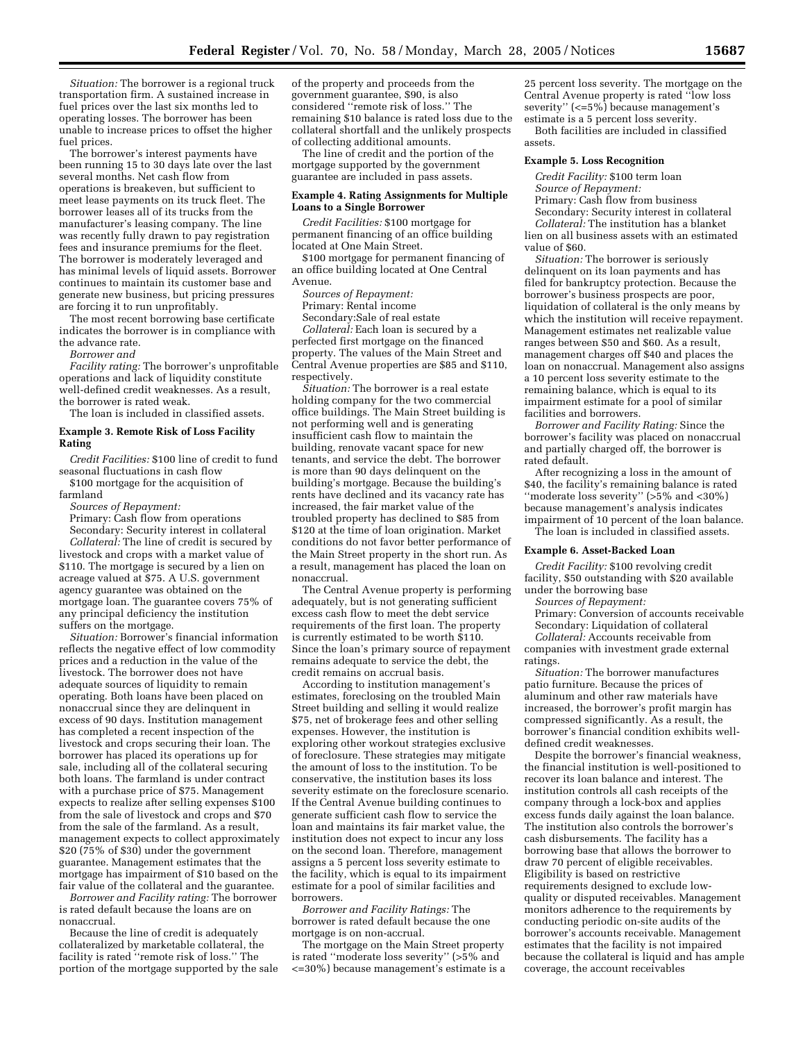*Situation:* The borrower is a regional truck transportation firm. A sustained increase in fuel prices over the last six months led to operating losses. The borrower has been unable to increase prices to offset the higher fuel prices.

The borrower's interest payments have been running 15 to 30 days late over the last several months. Net cash flow from operations is breakeven, but sufficient to meet lease payments on its truck fleet. The borrower leases all of its trucks from the manufacturer's leasing company. The line was recently fully drawn to pay registration fees and insurance premiums for the fleet. The borrower is moderately leveraged and has minimal levels of liquid assets. Borrower continues to maintain its customer base and generate new business, but pricing pressures are forcing it to run unprofitably.

The most recent borrowing base certificate indicates the borrower is in compliance with the advance rate.

*Borrower and*

*Facility rating:* The borrower's unprofitable operations and lack of liquidity constitute well-defined credit weaknesses. As a result, the borrower is rated weak.

The loan is included in classified assets.

## **Example 3. Remote Risk of Loss Facility Rating**

*Credit Facilities:* \$100 line of credit to fund seasonal fluctuations in cash flow

\$100 mortgage for the acquisition of farmland

*Sources of Repayment:*

Primary: Cash flow from operations Secondary: Security interest in collateral *Collateral:* The line of credit is secured by

livestock and crops with a market value of \$110. The mortgage is secured by a lien on acreage valued at \$75. A U.S. government agency guarantee was obtained on the mortgage loan. The guarantee covers 75% of any principal deficiency the institution suffers on the mortgage.

*Situation:* Borrower's financial information reflects the negative effect of low commodity prices and a reduction in the value of the livestock. The borrower does not have adequate sources of liquidity to remain operating. Both loans have been placed on nonaccrual since they are delinquent in excess of 90 days. Institution management has completed a recent inspection of the livestock and crops securing their loan. The borrower has placed its operations up for sale, including all of the collateral securing both loans. The farmland is under contract with a purchase price of \$75. Management expects to realize after selling expenses \$100 from the sale of livestock and crops and \$70 from the sale of the farmland. As a result, management expects to collect approximately \$20 (75% of \$30) under the government guarantee. Management estimates that the mortgage has impairment of \$10 based on the fair value of the collateral and the guarantee.

*Borrower and Facility rating:* The borrower is rated default because the loans are on nonaccrual.

Because the line of credit is adequately collateralized by marketable collateral, the facility is rated ''remote risk of loss.'' The portion of the mortgage supported by the sale

of the property and proceeds from the government guarantee, \$90, is also considered ''remote risk of loss.'' The remaining \$10 balance is rated loss due to the collateral shortfall and the unlikely prospects of collecting additional amounts.

The line of credit and the portion of the mortgage supported by the government guarantee are included in pass assets.

### **Example 4. Rating Assignments for Multiple Loans to a Single Borrower**

*Credit Facilities:* \$100 mortgage for permanent financing of an office building located at One Main Street.

\$100 mortgage for permanent financing of an office building located at One Central Avenue.

*Sources of Repayment:*

Primary: Rental income

Secondary:Sale of real estate

*Collateral:* Each loan is secured by a perfected first mortgage on the financed property. The values of the Main Street and Central Avenue properties are \$85 and \$110, respectively.

*Situation:* The borrower is a real estate holding company for the two commercial office buildings. The Main Street building is not performing well and is generating insufficient cash flow to maintain the building, renovate vacant space for new tenants, and service the debt. The borrower is more than 90 days delinquent on the building's mortgage. Because the building's rents have declined and its vacancy rate has increased, the fair market value of the troubled property has declined to \$85 from \$120 at the time of loan origination. Market conditions do not favor better performance of the Main Street property in the short run. As a result, management has placed the loan on nonaccrual.

The Central Avenue property is performing adequately, but is not generating sufficient excess cash flow to meet the debt service requirements of the first loan. The property is currently estimated to be worth \$110. Since the loan's primary source of repayment remains adequate to service the debt, the credit remains on accrual basis.

According to institution management's estimates, foreclosing on the troubled Main Street building and selling it would realize \$75, net of brokerage fees and other selling expenses. However, the institution is exploring other workout strategies exclusive of foreclosure. These strategies may mitigate the amount of loss to the institution. To be conservative, the institution bases its loss severity estimate on the foreclosure scenario. If the Central Avenue building continues to generate sufficient cash flow to service the loan and maintains its fair market value, the institution does not expect to incur any loss on the second loan. Therefore, management assigns a 5 percent loss severity estimate to the facility, which is equal to its impairment estimate for a pool of similar facilities and borrowers.

*Borrower and Facility Ratings:* The borrower is rated default because the one mortgage is on non-accrual.

The mortgage on the Main Street property is rated ''moderate loss severity'' (>5% and <=30%) because management's estimate is a

25 percent loss severity. The mortgage on the Central Avenue property is rated ''low loss severity'' (<=5%) because management's estimate is a 5 percent loss severity.

Both facilities are included in classified assets.

#### **Example 5. Loss Recognition**

*Credit Facility:* \$100 term loan

*Source of Repayment:*

Primary: Cash flow from business

Secondary: Security interest in collateral

*Collateral:* The institution has a blanket lien on all business assets with an estimated value of \$60.

*Situation:* The borrower is seriously delinquent on its loan payments and has filed for bankruptcy protection. Because the borrower's business prospects are poor, liquidation of collateral is the only means by which the institution will receive repayment. Management estimates net realizable value ranges between \$50 and \$60. As a result, management charges off \$40 and places the loan on nonaccrual. Management also assigns a 10 percent loss severity estimate to the remaining balance, which is equal to its impairment estimate for a pool of similar facilities and borrowers.

*Borrower and Facility Rating:* Since the borrower's facility was placed on nonaccrual and partially charged off, the borrower is rated default.

After recognizing a loss in the amount of \$40, the facility's remaining balance is rated ''moderate loss severity'' (>5% and <30%) because management's analysis indicates impairment of 10 percent of the loan balance. The loan is included in classified assets.

#### **Example 6. Asset-Backed Loan**

*Credit Facility:* \$100 revolving credit facility, \$50 outstanding with \$20 available under the borrowing base

*Sources of Repayment:*

Primary: Conversion of accounts receivable Secondary: Liquidation of collateral

*Collateral:* Accounts receivable from companies with investment grade external ratings.

*Situation:* The borrower manufactures patio furniture. Because the prices of aluminum and other raw materials have increased, the borrower's profit margin has compressed significantly. As a result, the borrower's financial condition exhibits welldefined credit weaknesses.

Despite the borrower's financial weakness, the financial institution is well-positioned to recover its loan balance and interest. The institution controls all cash receipts of the company through a lock-box and applies excess funds daily against the loan balance. The institution also controls the borrower's cash disbursements. The facility has a borrowing base that allows the borrower to draw 70 percent of eligible receivables. Eligibility is based on restrictive requirements designed to exclude lowquality or disputed receivables. Management monitors adherence to the requirements by conducting periodic on-site audits of the borrower's accounts receivable. Management estimates that the facility is not impaired because the collateral is liquid and has ample coverage, the account receivables